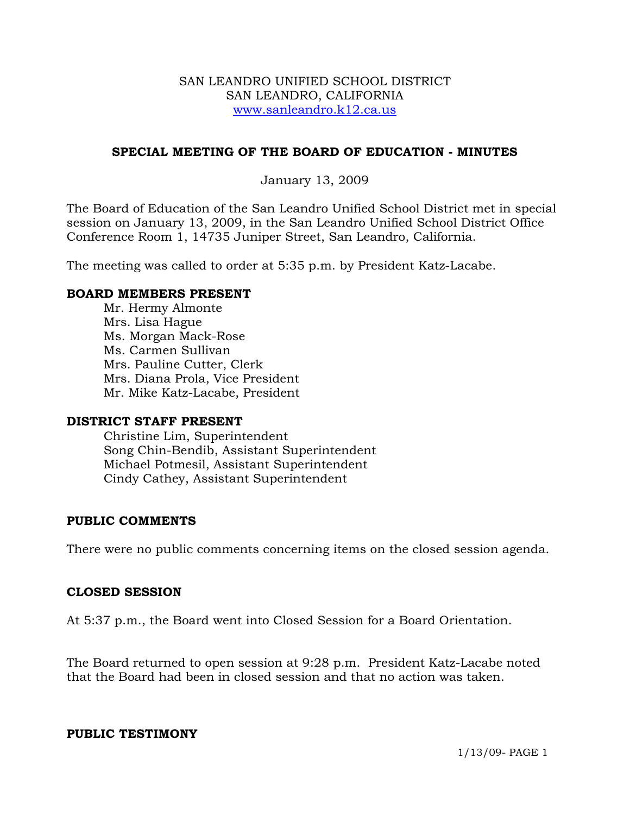#### SAN LEANDRO UNIFIED SCHOOL DISTRICT SAN LEANDRO, CALIFORNIA www.sanleandro.k12.ca.us

## **SPECIAL MEETING OF THE BOARD OF EDUCATION - MINUTES**

## January 13, 2009

The Board of Education of the San Leandro Unified School District met in special session on January 13, 2009, in the San Leandro Unified School District Office Conference Room 1, 14735 Juniper Street, San Leandro, California.

The meeting was called to order at 5:35 p.m. by President Katz-Lacabe.

#### **BOARD MEMBERS PRESENT**

Mr. Hermy Almonte Mrs. Lisa Hague Ms. Morgan Mack-Rose Ms. Carmen Sullivan Mrs. Pauline Cutter, Clerk Mrs. Diana Prola, Vice President Mr. Mike Katz-Lacabe, President

#### **DISTRICT STAFF PRESENT**

Christine Lim, Superintendent Song Chin-Bendib, Assistant Superintendent Michael Potmesil, Assistant Superintendent Cindy Cathey, Assistant Superintendent

#### **PUBLIC COMMENTS**

There were no public comments concerning items on the closed session agenda.

#### **CLOSED SESSION**

At 5:37 p.m., the Board went into Closed Session for a Board Orientation.

The Board returned to open session at 9:28 p.m. President Katz-Lacabe noted that the Board had been in closed session and that no action was taken.

#### **PUBLIC TESTIMONY**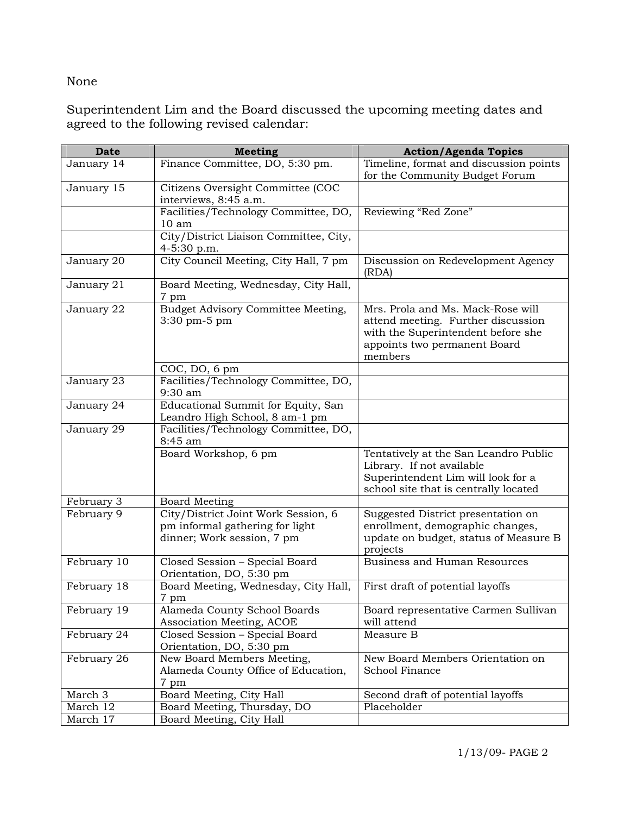# None

Superintendent Lim and the Board discussed the upcoming meeting dates and agreed to the following revised calendar:

| <b>Date</b> | <b>Meeting</b>                                        | <b>Action/Agenda Topics</b>                 |
|-------------|-------------------------------------------------------|---------------------------------------------|
| January 14  | Finance Committee, DO, 5:30 pm.                       | Timeline, format and discussion points      |
|             |                                                       | for the Community Budget Forum              |
| January 15  | Citizens Oversight Committee (COC                     |                                             |
|             | interviews, 8:45 a.m.                                 |                                             |
|             | Facilities/Technology Committee, DO,                  | Reviewing "Red Zone"                        |
|             | 10 <sub>am</sub>                                      |                                             |
|             | City/District Liaison Committee, City,<br>4-5:30 p.m. |                                             |
| January 20  | City Council Meeting, City Hall, 7 pm                 | Discussion on Redevelopment Agency<br>(RDA) |
| January 21  | Board Meeting, Wednesday, City Hall,<br>7 pm          |                                             |
| January 22  | Budget Advisory Committee Meeting,                    | Mrs. Prola and Ms. Mack-Rose will           |
|             | $3:30$ pm $-5$ pm                                     | attend meeting. Further discussion          |
|             |                                                       | with the Superintendent before she          |
|             |                                                       | appoints two permanent Board                |
|             |                                                       | members                                     |
|             | COC, DO, 6 pm                                         |                                             |
| January 23  | Facilities/Technology Committee, DO,                  |                                             |
|             | 9:30 am                                               |                                             |
| January 24  | Educational Summit for Equity, San                    |                                             |
|             | Leandro High School, 8 am-1 pm                        |                                             |
| January 29  | Facilities/Technology Committee, DO,                  |                                             |
|             | 8:45 am                                               |                                             |
|             | Board Workshop, 6 pm                                  | Tentatively at the San Leandro Public       |
|             |                                                       | Library. If not available                   |
|             |                                                       | Superintendent Lim will look for a          |
|             |                                                       | school site that is centrally located       |
| February 3  | <b>Board Meeting</b>                                  |                                             |
| February 9  | City/District Joint Work Session, 6                   | Suggested District presentation on          |
|             | pm informal gathering for light                       | enrollment, demographic changes,            |
|             | dinner; Work session, 7 pm                            | update on budget, status of Measure B       |
| February 10 | Closed Session - Special Board                        | projects<br>Business and Human Resources    |
|             | Orientation, DO, 5:30 pm                              |                                             |
| February 18 | Board Meeting, Wednesday, City Hall,                  | First draft of potential layoffs            |
|             | 7 pm                                                  |                                             |
| February 19 | Alameda County School Boards                          | Board representative Carmen Sullivan        |
|             | Association Meeting, ACOE                             | will attend                                 |
| February 24 | Closed Session - Special Board                        | Measure B                                   |
|             | Orientation, DO, 5:30 pm                              |                                             |
| February 26 | New Board Members Meeting,                            | New Board Members Orientation on            |
|             | Alameda County Office of Education,                   | School Finance                              |
|             | 7 pm                                                  |                                             |
| March 3     | Board Meeting, City Hall                              | Second draft of potential layoffs           |
| March 12    | Board Meeting, Thursday, DO                           | Placeholder                                 |
| March 17    | Board Meeting, City Hall                              |                                             |